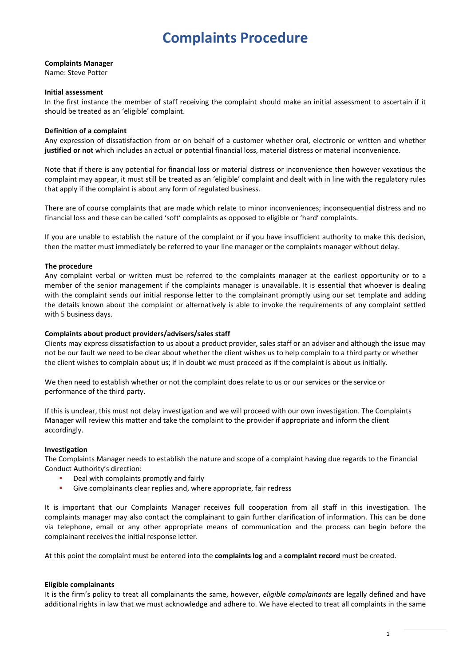# **Complaints Procedure**

# **Complaints Manager**

Name: Steve Potter

### **Initial assessment**

In the first instance the member of staff receiving the complaint should make an initial assessment to ascertain if it should be treated as an 'eligible' complaint.

## **Definition of a complaint**

Any expression of dissatisfaction from or on behalf of a customer whether oral, electronic or written and whether **justified or not** which includes an actual or potential financial loss, material distress or material inconvenience.

Note that if there is any potential for financial loss or material distress or inconvenience then however vexatious the complaint may appear, it must still be treated as an 'eligible' complaint and dealt with in line with the regulatory rules that apply if the complaint is about any form of regulated business.

There are of course complaints that are made which relate to minor inconveniences; inconsequential distress and no financial loss and these can be called 'soft' complaints as opposed to eligible or 'hard' complaints.

If you are unable to establish the nature of the complaint or if you have insufficient authority to make this decision, then the matter must immediately be referred to your line manager or the complaints manager without delay.

# **The procedure**

Any complaint verbal or written must be referred to the complaints manager at the earliest opportunity or to a member of the senior management if the complaints manager is unavailable. It is essential that whoever is dealing with the complaint sends our initial response letter to the complainant promptly using our set template and adding the details known about the complaint or alternatively is able to invoke the requirements of any complaint settled with 5 business days.

#### **Complaints about product providers/advisers/sales staff**

Clients may express dissatisfaction to us about a product provider, sales staff or an adviser and although the issue may not be our fault we need to be clear about whether the client wishes us to help complain to a third party or whether the client wishes to complain about us; if in doubt we must proceed as if the complaint is about us initially.

We then need to establish whether or not the complaint does relate to us or our services or the service or performance of the third party.

If this is unclear, this must not delay investigation and we will proceed with our own investigation. The Complaints Manager will review this matter and take the complaint to the provider if appropriate and inform the client accordingly.

# **Investigation**

The Complaints Manager needs to establish the nature and scope of a complaint having due regards to the Financial Conduct Authority's direction:

- **•** Deal with complaints promptly and fairly
- Give complainants clear replies and, where appropriate, fair redress

It is important that our Complaints Manager receives full cooperation from all staff in this investigation. The complaints manager may also contact the complainant to gain further clarification of information. This can be done via telephone, email or any other appropriate means of communication and the process can begin before the complainant receives the initial response letter.

At this point the complaint must be entered into the **complaints log** and a **complaint record** must be created.

#### **Eligible complainants**

It is the firm's policy to treat all complainants the same, however, *eligible complainants* are legally defined and have additional rights in law that we must acknowledge and adhere to. We have elected to treat all complaints in the same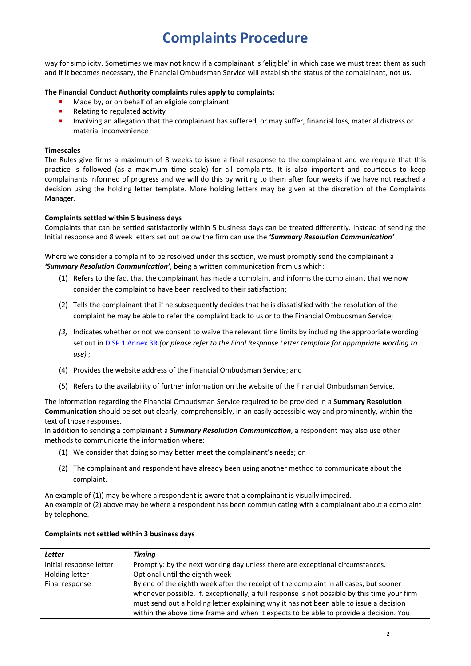# **Complaints Procedure**

way for simplicity. Sometimes we may not know if a complainant is 'eligible' in which case we must treat them as such and if it becomes necessary, the Financial Ombudsman Service will establish the status of the complainant, not us.

# **The Financial Conduct Authority complaints rules apply to complaints:**

- Made by, or on behalf of an eligible complainant
- Relating to regulated activity
- Involving an allegation that the complainant has suffered, or may suffer, financial loss, material distress or material inconvenience

# **Timescales**

The Rules give firms a maximum of 8 weeks to issue a final response to the complainant and we require that this practice is followed (as a maximum time scale) for all complaints. It is also important and courteous to keep complainants informed of progress and we will do this by writing to them after four weeks if we have not reached a decision using the holding letter template. More holding letters may be given at the discretion of the Complaints Manager.

# **Complaints settled within 5 business days**

Complaints that can be settled satisfactorily within 5 business days can be treated differently. Instead of sending the Initial response and 8 week letters set out below the firm can use the *'Summary Resolution Communication'*

Where we consider a complaint to be resolved under this section, we must promptly send the complainant a *'Summary Resolution Communication'*, being a written communication from us which:

- (1) Refers to the fact that the complainant has made a complaint and informs the complainant that we now consider the complaint to have been resolved to their satisfaction;
- (2) Tells the complainant that if he subsequently decides that he is dissatisfied with the resolution of the complaint he may be able to refer the complaint back to us or to the Financial Ombudsman Service;
- *(3)* Indicates whether or not we consent to waive the relevant time limits by including the appropriate wording set out in [DISP 1 Annex 3R](https://www.handbook.fca.org.uk/handbook/DISP/1/Annex3.html?date=2016-07-01#D927) *(or please refer to the Final Response Letter template for appropriate wording to use) ;*
- (4) Provides the website address of the Financial Ombudsman Service; and
- (5) Refers to the availability of further information on the website of the Financial Ombudsman Service.

The information regarding the Financial Ombudsman Service required to be provided in a **Summary Resolution Communication** should be set out clearly, comprehensibly, in an easily accessible way and prominently, within the text of those responses.

In addition to sending a complainant a *Summary Resolution Communication*, a respondent may also use other methods to communicate the information where:

- (1) We consider that doing so may better meet the complainant's needs; or
- (2) The complainant and respondent have already been using another method to communicate about the complaint.

An example of (1)) may be where a respondent is aware that a complainant is visually impaired. An example of (2) above may be where a respondent has been communicating with a complainant about a complaint by telephone.

| <b>Letter</b>           | Timina                                                                                       |
|-------------------------|----------------------------------------------------------------------------------------------|
| Initial response letter | Promptly: by the next working day unless there are exceptional circumstances.                |
| Holding letter          | Optional until the eighth week                                                               |
| Final response          | By end of the eighth week after the receipt of the complaint in all cases, but sooner        |
|                         | whenever possible. If, exceptionally, a full response is not possible by this time your firm |
|                         | must send out a holding letter explaining why it has not been able to issue a decision       |
|                         | within the above time frame and when it expects to be able to provide a decision. You        |

# **Complaints not settled within 3 business days**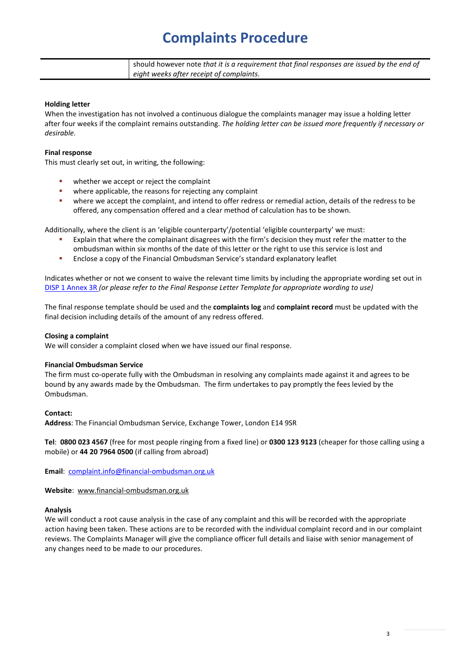# **Complaints Procedure**

| should however note that it is a requirement that final responses are issued by the end of |
|--------------------------------------------------------------------------------------------|
| eight weeks after receipt of complaints.                                                   |

#### **Holding letter**

When the investigation has not involved a continuous dialogue the complaints manager may issue a holding letter after four weeks if the complaint remains outstanding. *The holding letter can be issued more frequently if necessary or desirable.*

### **Final response**

This must clearly set out, in writing, the following:

- **•** whether we accept or reject the complaint
- **•** where applicable, the reasons for rejecting any complaint
- where we accept the complaint, and intend to offer redress or remedial action, details of the redress to be offered, any compensation offered and a clear method of calculation has to be shown.

Additionally, where the client is an 'eligible counterparty'/potential 'eligible counterparty' we must:

- Explain that where the complainant disagrees with the firm's decision they must refer the matter to the ombudsman within six months of the date of this letter or the right to use this service is lost and
- Enclose a copy of the Financial Ombudsman Service's standard explanatory leaflet

Indicates whether or not we consent to waive the relevant time limits by including the appropriate wording set out in [DISP 1 Annex 3R](https://www.handbook.fca.org.uk/handbook/DISP/1/Annex3.html?date=2016-07-01#D927) *(or please refer to the Final Response Letter Template for appropriate wording to use)*

The final response template should be used and the **complaints log** and **complaint record** must be updated with the final decision including details of the amount of any redress offered.

#### **Closing a complaint**

We will consider a complaint closed when we have issued our final response.

#### **Financial Ombudsman Service**

The firm must co-operate fully with the Ombudsman in resolving any complaints made against it and agrees to be bound by any awards made by the Ombudsman. The firm undertakes to pay promptly the fees levied by the Ombudsman.

#### **Contact:**

**Address**: The Financial Ombudsman Service, Exchange Tower, London E14 9SR

**Tel**: **0800 023 4567** (free for most people ringing from a fixed line) or **0300 123 9123** (cheaper for those calling using a mobile) or **44 20 7964 0500** (if calling from abroad)

**Email**: [complaint.info@financial-ombudsman.org.uk](mailto:complaint.info@financial-ombudsman.org.uk)

**Website**: [www.financial-ombudsman.org.uk](http://www.financial-ombudsman.org.uk/)

#### **Analysis**

We will conduct a root cause analysis in the case of any complaint and this will be recorded with the appropriate action having been taken. These actions are to be recorded with the individual complaint record and in our complaint reviews. The Complaints Manager will give the compliance officer full details and liaise with senior management of any changes need to be made to our procedures.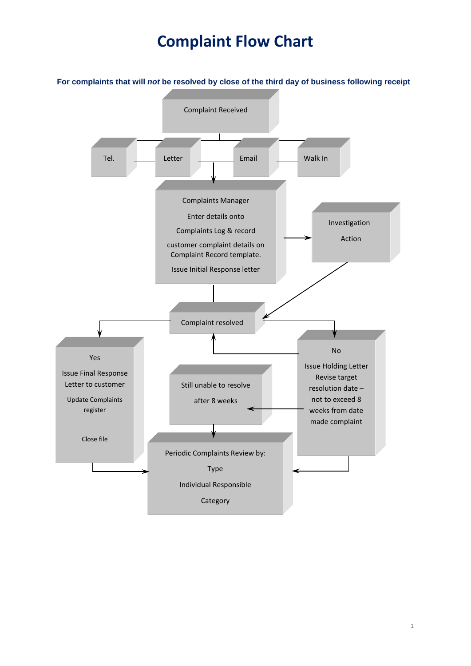# **Complaint Flow Chart**

**For complaints that will** *not* **be resolved by close of the third day of business following receipt** Complaint Received Tel. Letter Complaints Manager Enter details onto Complaints Log & record customer complaint details on Complaint Record template. Issue Initial Response letter  $\overline{a}$  Complaint resolved י Email Walk In Investigation Action Yes Issue Final Response Letter to customer Update Complaints register Close file No Issue Holding Letter Revise target resolution date – not to exceed 8 weeks from date made complaint Still unable to resolve after 8 weeks í Periodic Complaints Review by: Type Individual Responsible Category